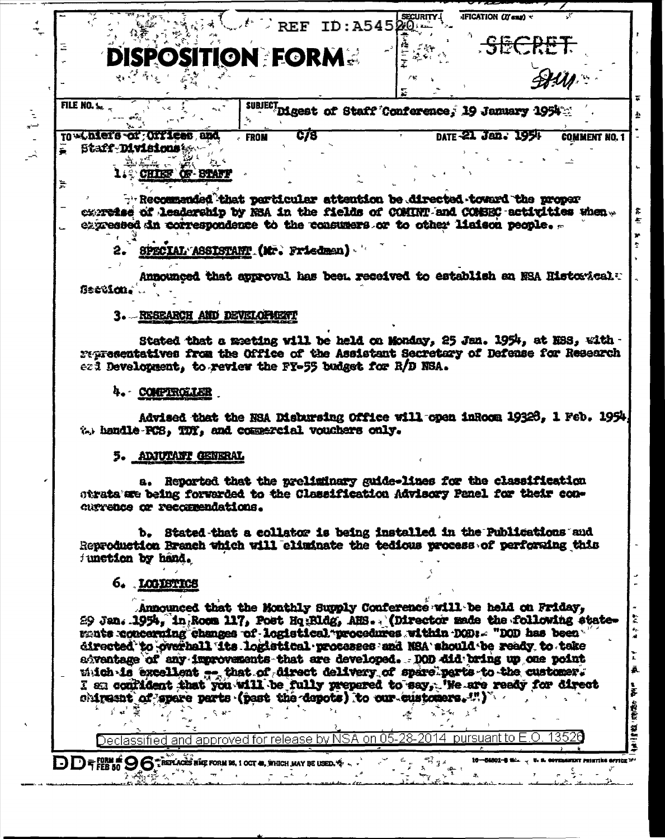|   | $\therefore$ REF ID: A54520                                                                                                                                                                                                                                                                                                                                                                                                                                                                                                                                                                                                                    |
|---|------------------------------------------------------------------------------------------------------------------------------------------------------------------------------------------------------------------------------------------------------------------------------------------------------------------------------------------------------------------------------------------------------------------------------------------------------------------------------------------------------------------------------------------------------------------------------------------------------------------------------------------------|
|   | OSITION FORM .<br>$\phi_1$ , $\phi_2$ , $\phi_3$ , $\phi_4$                                                                                                                                                                                                                                                                                                                                                                                                                                                                                                                                                                                    |
|   |                                                                                                                                                                                                                                                                                                                                                                                                                                                                                                                                                                                                                                                |
|   | <b>FILE NO. 1.</b><br>SUBJECT Digest of Staff Conference, 19 January 1954                                                                                                                                                                                                                                                                                                                                                                                                                                                                                                                                                                      |
|   | C/8<br>TO winters of Offices and<br>DATE -21 Jan. 1954<br><b>COMMENT NO. 1</b><br><b>FROM</b><br><b>E</b> Staff-Divisions &                                                                                                                                                                                                                                                                                                                                                                                                                                                                                                                    |
| እ | CHIEF OF BLAFF                                                                                                                                                                                                                                                                                                                                                                                                                                                                                                                                                                                                                                 |
|   | he reduced that perticular attention be directed toward the proper<br>curretse of leadership by NSA in the fields of COMINT and COMBEC activities when<br>expressed in correspondence to the consumers or to other linison people.                                                                                                                                                                                                                                                                                                                                                                                                             |
|   | SPECIAL ASSISTANT (Mr. Friedman)                                                                                                                                                                                                                                                                                                                                                                                                                                                                                                                                                                                                               |
|   | Announced that approval has been received to establish an NSA Historical:<br><b>Section.</b>                                                                                                                                                                                                                                                                                                                                                                                                                                                                                                                                                   |
|   | 3. RESEARCH AND DEVELOPMENT                                                                                                                                                                                                                                                                                                                                                                                                                                                                                                                                                                                                                    |
|   | Stated that a meting will be held on Monday, 25 Jan. 1954, at NSS, with -<br>representatives from the Office of the Assistant Secretary of Defense for Research<br>ezi Development, to review the FT-55 budget for R/D NSA.                                                                                                                                                                                                                                                                                                                                                                                                                    |
|   | 4. COMPIROLLER                                                                                                                                                                                                                                                                                                                                                                                                                                                                                                                                                                                                                                 |
|   | Advised that the NSA Disbursing Office will open inRoom 19326, 1 Feb. 1954,<br>%, handle PCS, TDY, and commercial vouchers only.                                                                                                                                                                                                                                                                                                                                                                                                                                                                                                               |
|   | 5. ADJUTANT GENERAL                                                                                                                                                                                                                                                                                                                                                                                                                                                                                                                                                                                                                            |
|   | a. Reported that the preliminary guide-lines for the classification<br>strata are being forwarded to the Classification Advisory Panel for their con-<br>currence or recorrendations.                                                                                                                                                                                                                                                                                                                                                                                                                                                          |
|   | b. Stated that a collator is being installed in the Publications and<br>Reproduction Branch which will eliminate the tedious process of perforaing this<br>function by hand.                                                                                                                                                                                                                                                                                                                                                                                                                                                                   |
|   | 6. LOGISTICS                                                                                                                                                                                                                                                                                                                                                                                                                                                                                                                                                                                                                                   |
|   | Announced that the Monthly Supply Conference will be held on Friday.<br>29 Jan. 1954, in Room 117, Post Hq:Rldg, AHS (Director made the following state-<br>ments concerning changes of logistical procedures within DOD: - "DOD has been<br>directed to overhall its logistical processes and NSA should be ready to take<br>adventage of any improvements that are developed. DOD did bring up one point<br>witch is excellent  that of direct delivery of spare parts to the customer.<br>I am conflident that you will be fully prepared to say, 'He are ready for direct<br>chipesnt of spare parts (past the depots) to our customers. " |
|   | ४ च' है<br>Declassified and approved for release by NSA on 05-28-2014 pursuant to E.O<br>3526                                                                                                                                                                                                                                                                                                                                                                                                                                                                                                                                                  |
|   | DDFFEB 50 9 6 TREPLACES RICE FORM 26, 1 OCT 48, WHICH MAY BE USED.<br>$\mathcal{B}_{j,\sharp,\delta}^{\pi}$                                                                                                                                                                                                                                                                                                                                                                                                                                                                                                                                    |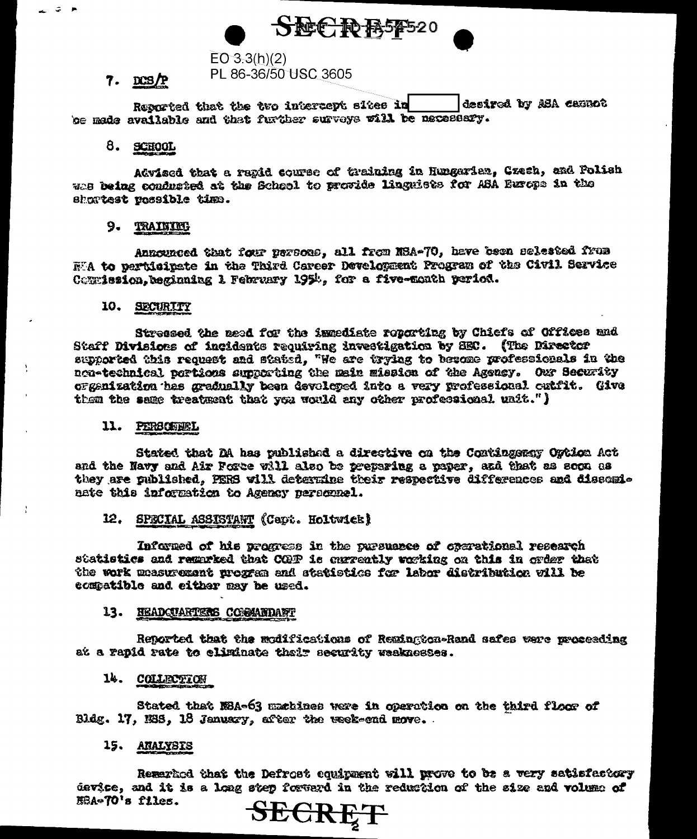

# $EO 3.3(h)(2)$

PL 86-36/50 USC 3605

## $7.$  DCS/P

Reported that the two intercept sites in desired by ABA campot be made available and that further surveys will be necessary.

### 8. SCHOOL

Advised that a rapid course of training in Hungarian. Cresh, and Polish whe being conducted at the School to provide linguists for ASA Europe in the shortest vossible time.

### 9. TRAINING

Announced that four persons, all from NSA-70, have been selected from WA to pertisipate in the Third Career Development Program of the Civil Service Compission. beginning 1 February 1952, for a five-month period.

## 10. SECURITY

Stressed the need for the inmediate reporting by Chiefs of Offices and Staff Divisions of incidents requiring investigation by SEC. (The Director supported this request and stated, "We are trying to become professionals in the non-technical portions supporting the main mission of the Agency. Our Security ofgenization has gradually been devolcted into a very professional cutfit. Give them the same treatment that you would any other professional unit.")

#### 11. PERSONNEL

Stated that DA has published a directive on the Contingency Ogtion Act and the Navy and Air Force will also be preparing a paper, and that as soon as they are published, FERS will determine their respective differences and dissominate this information to Agency personnel.

#### 12. SPECIAL ASSISTANT (Capt. Holtwick)

Informed of his progress in the pursuance of operational research statistics and remarked that COP is gurrently working on this in order that the work measurement program and statistics for labor distribution vill be compatible and either may be used.

#### 13. HEADQUARTERS COGGANDANT

Reported that the modifications of Reminster-Rand safes vere proceeding at a rapid rate to climinate that recurity weaknesses.

## 14. COLLECTION

Stated that NBA-63 machines were in operation on the third floor of Bldg. 17, 1935, 18 January, after the week-end move.

## 15. ANALYSIS

Remarked that the Defrost couirment will prove to be a very satisfactory device, and it is a long step forward in the reduction of the size and volume of EBA-70's files.